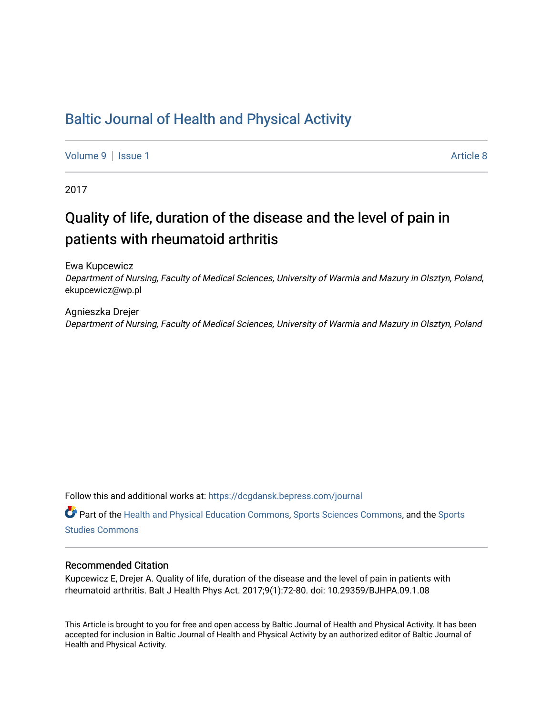## [Baltic Journal of Health and Physical Activity](https://dcgdansk.bepress.com/journal)

[Volume 9](https://dcgdansk.bepress.com/journal/vol9) | [Issue 1](https://dcgdansk.bepress.com/journal/vol9/iss1) Article 8

2017

## Quality of life, duration of the disease and the level of pain in patients with rheumatoid arthritis

Ewa Kupcewicz

Department of Nursing, Faculty of Medical Sciences, University of Warmia and Mazury in Olsztyn, Poland, ekupcewicz@wp.pl

Agnieszka Drejer Department of Nursing, Faculty of Medical Sciences, University of Warmia and Mazury in Olsztyn, Poland

Follow this and additional works at: [https://dcgdansk.bepress.com/journal](https://dcgdansk.bepress.com/journal?utm_source=dcgdansk.bepress.com%2Fjournal%2Fvol9%2Fiss1%2F8&utm_medium=PDF&utm_campaign=PDFCoverPages)

Part of the [Health and Physical Education Commons](http://network.bepress.com/hgg/discipline/1327?utm_source=dcgdansk.bepress.com%2Fjournal%2Fvol9%2Fiss1%2F8&utm_medium=PDF&utm_campaign=PDFCoverPages), [Sports Sciences Commons](http://network.bepress.com/hgg/discipline/759?utm_source=dcgdansk.bepress.com%2Fjournal%2Fvol9%2Fiss1%2F8&utm_medium=PDF&utm_campaign=PDFCoverPages), and the [Sports](http://network.bepress.com/hgg/discipline/1198?utm_source=dcgdansk.bepress.com%2Fjournal%2Fvol9%2Fiss1%2F8&utm_medium=PDF&utm_campaign=PDFCoverPages)  [Studies Commons](http://network.bepress.com/hgg/discipline/1198?utm_source=dcgdansk.bepress.com%2Fjournal%2Fvol9%2Fiss1%2F8&utm_medium=PDF&utm_campaign=PDFCoverPages) 

#### Recommended Citation

Kupcewicz E, Drejer A. Quality of life, duration of the disease and the level of pain in patients with rheumatoid arthritis. Balt J Health Phys Act. 2017;9(1):72-80. doi: 10.29359/BJHPA.09.1.08

This Article is brought to you for free and open access by Baltic Journal of Health and Physical Activity. It has been accepted for inclusion in Baltic Journal of Health and Physical Activity by an authorized editor of Baltic Journal of Health and Physical Activity.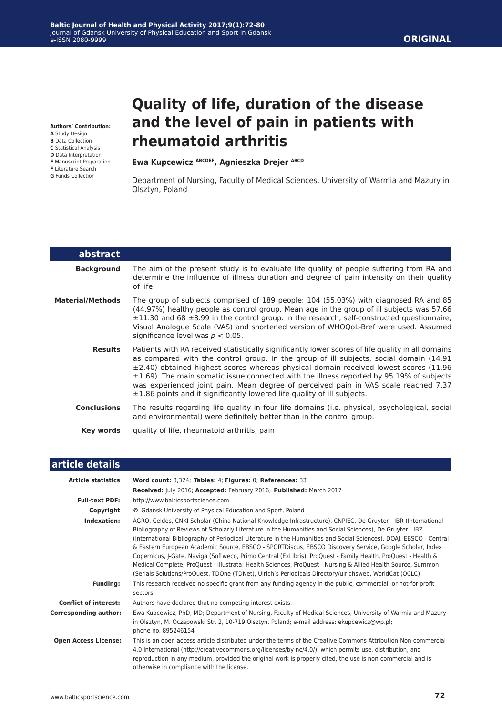**Authors' Contribution:**

- **A** Study Design
- **B** Data Collection
- **C** Statistical Analysis **D** Data Interpretation
- **E** Manuscript Preparation
- **F** Literature Search
- **G** Funds Collection

L

# **Quality of life, duration of the disease and the level of pain in patients with rheumatoid arthritis**

#### **Ewa Kupcewicz ABCDEF, Agnieszka Drejer ABCD**

Department of Nursing, Faculty of Medical Sciences, University of Warmia and Mazury in Olsztyn, Poland

| abstract                |                                                                                                                                                                                                                                                                                                                                                                                                                                                                                                                                                                    |
|-------------------------|--------------------------------------------------------------------------------------------------------------------------------------------------------------------------------------------------------------------------------------------------------------------------------------------------------------------------------------------------------------------------------------------------------------------------------------------------------------------------------------------------------------------------------------------------------------------|
| <b>Background</b>       | The aim of the present study is to evaluate life quality of people suffering from RA and<br>determine the influence of illness duration and degree of pain intensity on their quality<br>of life.                                                                                                                                                                                                                                                                                                                                                                  |
| <b>Material/Methods</b> | The group of subjects comprised of 189 people: 104 (55.03%) with diagnosed RA and 85<br>(44.97%) healthy people as control group. Mean age in the group of ill subjects was 57.66<br>$\pm 11.30$ and 68 $\pm 8.99$ in the control group. In the research, self-constructed questionnaire,<br>Visual Analogue Scale (VAS) and shortened version of WHOQoL-Bref were used. Assumed<br>significance level was $p < 0.05$ .                                                                                                                                            |
| <b>Results</b>          | Patients with RA received statistically significantly lower scores of life quality in all domains<br>as compared with the control group. In the group of ill subjects, social domain (14.91)<br>$\pm$ 2.40) obtained highest scores whereas physical domain received lowest scores (11.96<br>$\pm 1.69$ ). The main somatic issue connected with the illness reported by 95.19% of subjects<br>was experienced joint pain. Mean degree of perceived pain in VAS scale reached 7.37<br>$\pm$ 1.86 points and it significantly lowered life quality of ill subjects. |
| <b>Conclusions</b>      | The results regarding life quality in four life domains (i.e. physical, psychological, social<br>and environmental) were definitely better than in the control group.                                                                                                                                                                                                                                                                                                                                                                                              |
| Key words               | quality of life, rheumatoid arthritis, pain                                                                                                                                                                                                                                                                                                                                                                                                                                                                                                                        |

## **article details**

| <b>Article statistics</b>    | Word count: 3,324; Tables: 4; Figures: 0; References: 33                                                                                                                                                                                                                                                                                                                                                                                                                                                                                                                                                                                                                                                                                                                                             |
|------------------------------|------------------------------------------------------------------------------------------------------------------------------------------------------------------------------------------------------------------------------------------------------------------------------------------------------------------------------------------------------------------------------------------------------------------------------------------------------------------------------------------------------------------------------------------------------------------------------------------------------------------------------------------------------------------------------------------------------------------------------------------------------------------------------------------------------|
|                              | Received: July 2016; Accepted: February 2016; Published: March 2017                                                                                                                                                                                                                                                                                                                                                                                                                                                                                                                                                                                                                                                                                                                                  |
| <b>Full-text PDF:</b>        | http://www.balticsportscience.com                                                                                                                                                                                                                                                                                                                                                                                                                                                                                                                                                                                                                                                                                                                                                                    |
| Copyright                    | © Gdansk University of Physical Education and Sport, Poland                                                                                                                                                                                                                                                                                                                                                                                                                                                                                                                                                                                                                                                                                                                                          |
| Indexation:                  | AGRO, Celdes, CNKI Scholar (China National Knowledge Infrastructure), CNPIEC, De Gruyter - IBR (International<br>Bibliography of Reviews of Scholarly Literature in the Humanities and Social Sciences), De Gruyter - IBZ<br>(International Bibliography of Periodical Literature in the Humanities and Social Sciences), DOAJ, EBSCO - Central<br>& Eastern European Academic Source, EBSCO - SPORTDiscus, EBSCO Discovery Service, Google Scholar, Index<br>Copernicus, J-Gate, Naviga (Softweco, Primo Central (ExLibris), ProQuest - Family Health, ProQuest - Health &<br>Medical Complete, ProQuest - Illustrata: Health Sciences, ProQuest - Nursing & Allied Health Source, Summon<br>(Serials Solutions/ProQuest, TDOne (TDNet), Ulrich's Periodicals Directory/ulrichsweb, WorldCat (OCLC) |
| <b>Funding:</b>              | This research received no specific grant from any funding agency in the public, commercial, or not-for-profit<br>sectors.                                                                                                                                                                                                                                                                                                                                                                                                                                                                                                                                                                                                                                                                            |
| <b>Conflict of interest:</b> | Authors have declared that no competing interest exists.                                                                                                                                                                                                                                                                                                                                                                                                                                                                                                                                                                                                                                                                                                                                             |
| <b>Corresponding author:</b> | Ewa Kupcewicz, PhD, MD; Department of Nursing, Faculty of Medical Sciences, University of Warmia and Mazury<br>in Olsztyn, M. Oczapowski Str. 2, 10-719 Olsztyn, Poland; e-mail address: ekupcewicz@wp.pl;<br>phone no. 895246154                                                                                                                                                                                                                                                                                                                                                                                                                                                                                                                                                                    |
| <b>Open Access License:</b>  | This is an open access article distributed under the terms of the Creative Commons Attribution-Non-commercial<br>4.0 International (http://creativecommons.org/licenses/by-nc/4.0/), which permits use, distribution, and<br>reproduction in any medium, provided the original work is properly cited, the use is non-commercial and is<br>otherwise in compliance with the license.                                                                                                                                                                                                                                                                                                                                                                                                                 |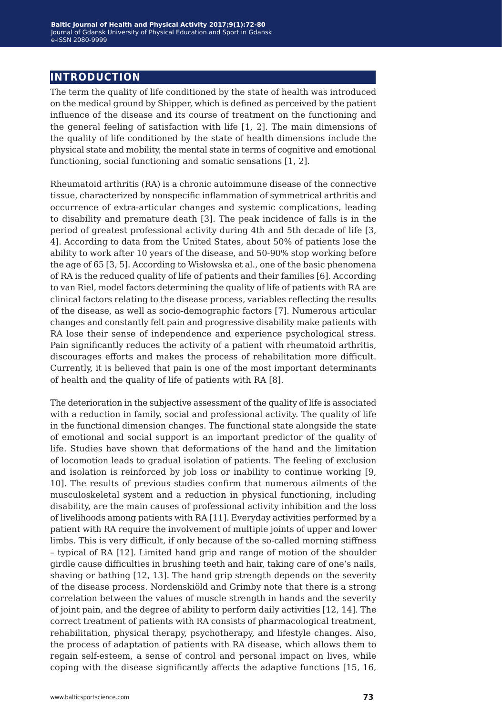## **introduction**

The term the quality of life conditioned by the state of health was introduced on the medical ground by Shipper, which is defined as perceived by the patient influence of the disease and its course of treatment on the functioning and the general feeling of satisfaction with life [1, 2]. The main dimensions of the quality of life conditioned by the state of health dimensions include the physical state and mobility, the mental state in terms of cognitive and emotional functioning, social functioning and somatic sensations [1, 2].

Rheumatoid arthritis (RA) is a chronic autoimmune disease of the connective tissue, characterized by nonspecific inflammation of symmetrical arthritis and occurrence of extra-articular changes and systemic complications, leading to disability and premature death [3]. The peak incidence of falls is in the period of greatest professional activity during 4th and 5th decade of life [3, 4]. According to data from the United States, about 50% of patients lose the ability to work after 10 years of the disease, and 50-90% stop working before the age of 65 [3, 5]. According to Wisłowska et al., one of the basic phenomena of RA is the reduced quality of life of patients and their families [6]. According to van Riel, model factors determining the quality of life of patients with RA are clinical factors relating to the disease process, variables reflecting the results of the disease, as well as socio-demographic factors [7]. Numerous articular changes and constantly felt pain and progressive disability make patients with RA lose their sense of independence and experience psychological stress. Pain significantly reduces the activity of a patient with rheumatoid arthritis, discourages efforts and makes the process of rehabilitation more difficult. Currently, it is believed that pain is one of the most important determinants of health and the quality of life of patients with RA [8].

The deterioration in the subjective assessment of the quality of life is associated with a reduction in family, social and professional activity. The quality of life in the functional dimension changes. The functional state alongside the state of emotional and social support is an important predictor of the quality of life. Studies have shown that deformations of the hand and the limitation of locomotion leads to gradual isolation of patients. The feeling of exclusion and isolation is reinforced by job loss or inability to continue working [9, 10]. The results of previous studies confirm that numerous ailments of the musculoskeletal system and a reduction in physical functioning, including disability, are the main causes of professional activity inhibition and the loss of livelihoods among patients with RA [11]. Everyday activities performed by a patient with RA require the involvement of multiple joints of upper and lower limbs. This is very difficult, if only because of the so-called morning stiffness – typical of RA [12]. Limited hand grip and range of motion of the shoulder girdle cause difficulties in brushing teeth and hair, taking care of one's nails, shaving or bathing [12, 13]. The hand grip strength depends on the severity of the disease process. Nordenskiöld and Grimby note that there is a strong correlation between the values of muscle strength in hands and the severity of joint pain, and the degree of ability to perform daily activities [12, 14]. The correct treatment of patients with RA consists of pharmacological treatment, rehabilitation, physical therapy, psychotherapy, and lifestyle changes. Also, the process of adaptation of patients with RA disease, which allows them to regain self-esteem, a sense of control and personal impact on lives, while coping with the disease significantly affects the adaptive functions [15, 16,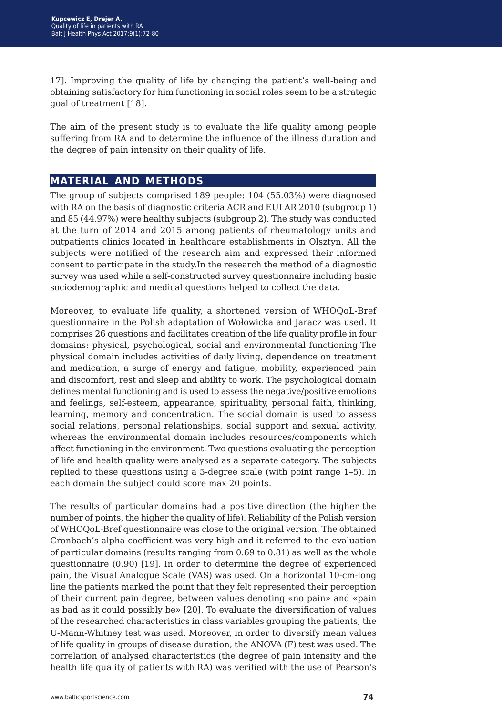17]. Improving the quality of life by changing the patient's well-being and obtaining satisfactory for him functioning in social roles seem to be a strategic goal of treatment [18].

The aim of the present study is to evaluate the life quality among people suffering from RA and to determine the influence of the illness duration and the degree of pain intensity on their quality of life.

## **material and methods**

The group of subjects comprised 189 people: 104 (55.03%) were diagnosed with RA on the basis of diagnostic criteria ACR and EULAR 2010 (subgroup 1) and 85 (44.97%) were healthy subjects (subgroup 2). The study was conducted at the turn of 2014 and 2015 among patients of rheumatology units and outpatients clinics located in healthcare establishments in Olsztyn. All the subjects were notified of the research aim and expressed their informed consent to participate in the study.In the research the method of a diagnostic survey was used while a self-constructed survey questionnaire including basic sociodemographic and medical questions helped to collect the data.

Moreover, to evaluate life quality, a shortened version of WHOQoL-Bref questionnaire in the Polish adaptation of Wołowicka and Jaracz was used. It comprises 26 questions and facilitates creation of the life quality profile in four domains: physical, psychological, social and environmental functioning.The physical domain includes activities of daily living, dependence on treatment and medication, a surge of energy and fatigue, mobility, experienced pain and discomfort, rest and sleep and ability to work. The psychological domain defines mental functioning and is used to assess the negative/positive emotions and feelings, self-esteem, appearance, spirituality, personal faith, thinking, learning, memory and concentration. The social domain is used to assess social relations, personal relationships, social support and sexual activity, whereas the environmental domain includes resources/components which affect functioning in the environment. Two questions evaluating the perception of life and health quality were analysed as a separate category. The subjects replied to these questions using a 5-degree scale (with point range 1–5). In each domain the subject could score max 20 points.

The results of particular domains had a positive direction (the higher the number of points, the higher the quality of life). Reliability of the Polish version of WHOQoL-Bref questionnaire was close to the original version. The obtained Cronbach's alpha coefficient was very high and it referred to the evaluation of particular domains (results ranging from 0.69 to 0.81) as well as the whole questionnaire (0.90) [19]. In order to determine the degree of experienced pain, the Visual Analogue Scale (VAS) was used. On a horizontal 10-cm-long line the patients marked the point that they felt represented their perception of their current pain degree, between values denoting «no pain» and «pain as bad as it could possibly be» [20]. To evaluate the diversification of values of the researched characteristics in class variables grouping the patients, the U-Mann-Whitney test was used. Moreover, in order to diversify mean values of life quality in groups of disease duration, the ANOVA (F) test was used. The correlation of analysed characteristics (the degree of pain intensity and the health life quality of patients with RA) was verified with the use of Pearson's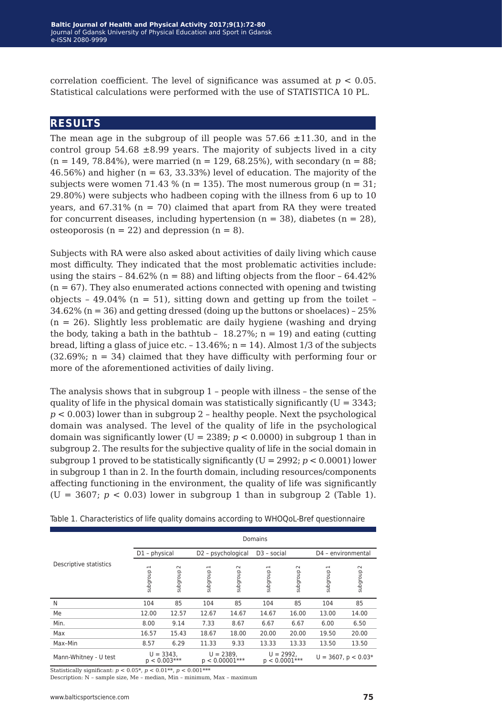correlation coefficient. The level of significance was assumed at  $p < 0.05$ . Statistical calculations were performed with the use of STATISTICA 10 PL.

### **results**

The mean age in the subgroup of ill people was  $57.66 \pm 11.30$ , and in the control group  $54.68 \pm 8.99$  years. The majority of subjects lived in a city  $(n = 149, 78.84\%)$ , were married  $(n = 129, 68.25\%)$ , with secondary  $(n = 88;$ 46.56%) and higher ( $n = 63, 33.33$ %) level of education. The majority of the subjects were women 71.43 % ( $n = 135$ ). The most numerous group ( $n = 31$ ; 29.80%) were subjects who hadbeen coping with the illness from 6 up to 10 years, and  $67.31\%$  (n = 70) claimed that apart from RA they were treated for concurrent diseases, including hypertension  $(n = 38)$ , diabetes  $(n = 28)$ , osteoporosis ( $n = 22$ ) and depression ( $n = 8$ ).

Subjects with RA were also asked about activities of daily living which cause most difficulty. They indicated that the most problematic activities include: using the stairs –  $84.62\%$  (n = 88) and lifting objects from the floor –  $64.42\%$  $(n = 67)$ . They also enumerated actions connected with opening and twisting objects - 49.04% ( $n = 51$ ), sitting down and getting up from the toilet - $34.62\%$  (n = 36) and getting dressed (doing up the buttons or shoelaces) - 25%  $(n = 26)$ . Slightly less problematic are daily hygiene (washing and drying the body, taking a bath in the bathtub -  $18.27\%$ ; n = 19) and eating (cutting bread, lifting a glass of juice etc.  $-13.46\%$ ; n = 14). Almost 1/3 of the subjects  $(32.69\%; n = 34)$  claimed that they have difficulty with performing four or more of the aforementioned activities of daily living.

The analysis shows that in subgroup 1 – people with illness – the sense of the quality of life in the physical domain was statistically significantly  $(U = 3343)$ ; *p* < 0.003) lower than in subgroup 2 – healthy people. Next the psychological domain was analysed. The level of the quality of life in the psychological domain was significantly lower ( $U = 2389$ ;  $p < 0.0000$ ) in subgroup 1 than in subgroup 2. The results for the subjective quality of life in the social domain in subgroup 1 proved to be statistically significantly (U = 2992; *p* < 0.0001) lower in subgroup 1 than in 2. In the fourth domain, including resources/components affecting functioning in the environment, the quality of life was significantly  $(U = 3607; p < 0.03)$  lower in subgroup 1 than in subgroup 2 (Table 1).

|                        | Domains                              |                    |                    |                                 |                            |                                |                            |                          |  |
|------------------------|--------------------------------------|--------------------|--------------------|---------------------------------|----------------------------|--------------------------------|----------------------------|--------------------------|--|
|                        | D1 - physical                        |                    | D2 - psychological |                                 | D <sub>3</sub> - social    |                                | D4 - environmental         |                          |  |
| Descriptive statistics | $\overline{\phantom{0}}$<br>dnoubqns | $\sim$<br>dnoubqns | subgroup 1         | $\sim$<br>dnoubqns              | $\overline{ }$<br>dnoubqns | $\sim$<br>dnoubqns             | $\overline{ }$<br>dnoubqns | $\sim$<br>dnoubqns       |  |
| N                      | 104                                  | 85                 | 104                | 85                              | 104                        | 85                             | 104                        | 85                       |  |
| Me                     | 12.00                                | 12.57              | 12.67              | 14.67                           | 14.67                      | 16.00                          | 13.00                      | 14.00                    |  |
| Min.                   | 8.00                                 | 9.14               | 7.33               | 8.67                            | 6.67                       | 6.67                           | 6.00                       | 6.50                     |  |
| Max                    | 16.57                                | 15.43              | 18.67              | 18.00                           | 20.00                      | 20.00                          | 19.50                      | 20.00                    |  |
| Max-Min                | 8.57                                 | 6.29               | 11.33              | 9.33                            | 13.33                      | 13.33                          | 13.50                      | 13.50                    |  |
| Mann-Whitney - U test  | $U = 3343,$<br>$p < 0.003***$        |                    |                    | $U = 2389,$<br>$p < 0.00001***$ |                            | $U = 2992,$<br>$p < 0.0001***$ |                            | $U = 3607$ , $p < 0.03*$ |  |

Table 1. Characteristics of life quality domains according to WHOQoL-Bref questionnaire

Statistically significant: *p* < 0.05\*, *p* < 0.01\*\*, *p* < 0.001\*\*\*

Description: N – sample size, Me – median, Min – minimum, Max – maximum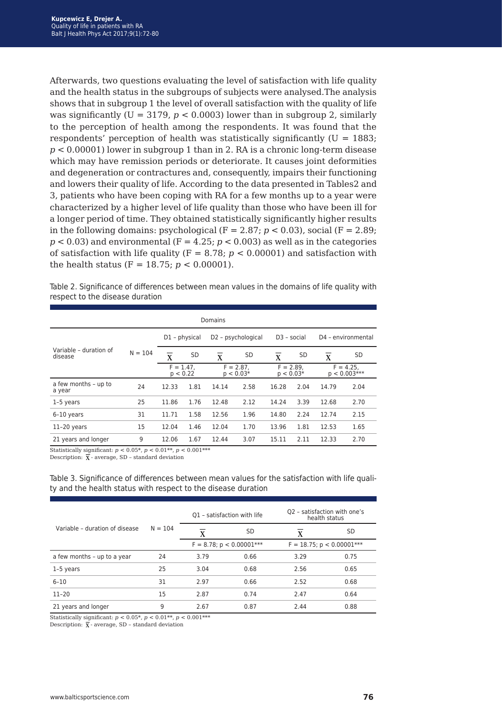Afterwards, two questions evaluating the level of satisfaction with life quality and the health status in the subgroups of subjects were analysed.The analysis shows that in subgroup 1 the level of overall satisfaction with the quality of life was significantly ( $U = 3179$ ,  $p < 0.0003$ ) lower than in subgroup 2, similarly to the perception of health among the respondents. It was found that the respondents' perception of health was statistically significantly  $(U = 1883)$ ; *p* < 0.00001) lower in subgroup 1 than in 2. RA is a chronic long-term disease which may have remission periods or deteriorate. It causes joint deformities and degeneration or contractures and, consequently, impairs their functioning and lowers their quality of life. According to the data presented in Tables2 and 3, patients who have been coping with RA for a few months up to a year were characterized by a higher level of life quality than those who have been ill for a longer period of time. They obtained statistically significantly higher results in the following domains: psychological  $(F = 2.87; p < 0.03)$ , social  $(F = 2.89;$  $p < 0.03$ ) and environmental ( $F = 4.25$ ;  $p < 0.003$ ) as well as in the categories of satisfaction with life quality ( $F = 8.78$ ;  $p < 0.00001$ ) and satisfaction with the health status (F = 18.75;  $p < 0.00001$ ).

Table 2. Significance of differences between mean values in the domains of life quality with respect to the disease duration

| Domains                           |           |                                    |                 |                             |                                |                            |      |                               |                    |
|-----------------------------------|-----------|------------------------------------|-----------------|-----------------------------|--------------------------------|----------------------------|------|-------------------------------|--------------------|
|                                   |           |                                    | $D1$ – physical |                             | D <sub>2</sub> - psychological | $D3 - social$              |      |                               | D4 - environmental |
| Variable - duration of<br>disease | $N = 104$ | $\overline{\overline{\mathrm{x}}}$ | <b>SD</b>       | $\mathbf{x}$                | <b>SD</b>                      | $\mathbf{x}$               | SD   | $\bf{X}$                      | <b>SD</b>          |
|                                   |           | $F = 1.47.$<br>p < 0.22            |                 | $F = 2.87$ .<br>$p < 0.03*$ |                                | $F = 2.89.$<br>$p < 0.03*$ |      | $F = 4.25.$<br>$p < 0.003***$ |                    |
| a few months - up to<br>a year    | 24        | 12.33                              | 1.81            | 14.14                       | 2.58                           | 16.28                      | 2.04 | 14.79                         | 2.04               |
| 1-5 years                         | 25        | 11.86                              | 1.76            | 12.48                       | 2.12                           | 14.24                      | 3.39 | 12.68                         | 2.70               |
| $6-10$ years                      | 31        | 11.71                              | 1.58            | 12.56                       | 1.96                           | 14.80                      | 2.24 | 12.74                         | 2.15               |
| $11-20$ years                     | 15        | 12.04                              | 1.46            | 12.04                       | 1.70                           | 13.96                      | 1.81 | 12.53                         | 1.65               |
| 21 years and longer               | 9         | 12.06                              | 1.67            | 12.44                       | 3.07                           | 15.11                      | 2.11 | 12.33                         | 2.70               |

Statistically significant: *p* < 0.05\*, *p* < 0.01\*\*, *p* < 0.001\*\*\*

Description:  $\bar{X}$  - average, SD - standard deviation

Table 3. Significance of differences between mean values for the satisfaction with life quality and the health status with respect to the disease duration

|                                | $N = 104$ |      | Q1 - satisfaction with life   | O2 - satisfaction with one's<br>health status |      |  |
|--------------------------------|-----------|------|-------------------------------|-----------------------------------------------|------|--|
| Variable - duration of disease |           | X    | SD                            | X                                             | SD   |  |
|                                |           |      | $F = 8.78$ ; $p < 0.00001***$ | $F = 18.75$ ; $p < 0.00001$ ***               |      |  |
| a few months - up to a year    | 24        | 3.79 | 0.66                          | 3.29                                          | 0.75 |  |
| 1-5 years                      | 25        | 3.04 | 0.68                          | 2.56                                          | 0.65 |  |
| $6 - 10$                       | 31        | 2.97 | 0.66                          | 2.52                                          | 0.68 |  |
| $11 - 20$                      | 15        | 2.87 | 0.74                          | 2.47                                          | 0.64 |  |
| 21 years and longer            | 9         | 2.67 | 0.87                          | 2.44                                          | 0.88 |  |

Statistically significant:  $p < 0.05^*$ ,  $p < 0.01^{**}$ ,  $p < 0.001^{***}$ 

Description:  $\overline{\mathbf{x}}$  - average, SD – standard deviation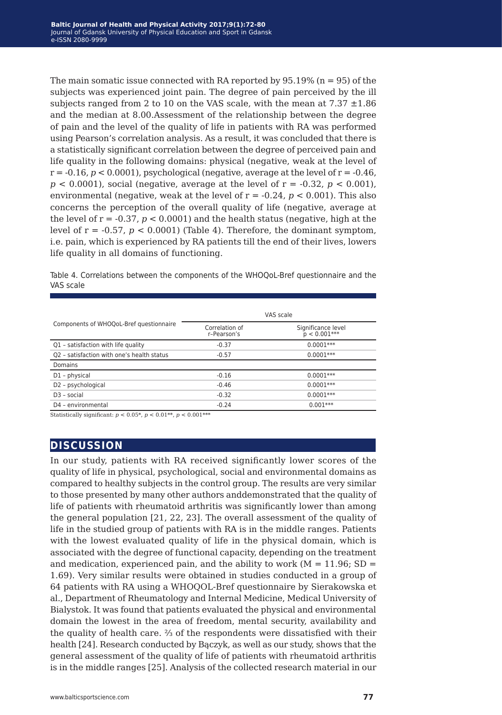The main somatic issue connected with RA reported by  $95.19\%$  (n = 95) of the subjects was experienced joint pain. The degree of pain perceived by the ill subjects ranged from 2 to 10 on the VAS scale, with the mean at  $7.37 \pm 1.86$ and the median at 8.00.Assessment of the relationship between the degree of pain and the level of the quality of life in patients with RA was performed using Pearson's correlation analysis. As a result, it was concluded that there is a statistically significant correlation between the degree of perceived pain and life quality in the following domains: physical (negative, weak at the level of  $r = -0.16$ ,  $p < 0.0001$ ), psychological (negative, average at the level of  $r = -0.46$ ).  $p < 0.0001$ , social (negative, average at the level of  $r = -0.32$ ,  $p < 0.001$ ), environmental (negative, weak at the level of  $r = -0.24$ ,  $p < 0.001$ ). This also concerns the perception of the overall quality of life (negative, average at the level of  $r = -0.37$ ,  $p < 0.0001$ ) and the health status (negative, high at the level of  $r = -0.57$ ,  $p < 0.0001$  (Table 4). Therefore, the dominant symptom, i.e. pain, which is experienced by RA patients till the end of their lives, lowers life quality in all domains of functioning.

Table 4. Correlations between the components of the WHOQoL-Bref questionnaire and the VAS scale

|                                            | VAS scale                     |                                      |  |  |  |
|--------------------------------------------|-------------------------------|--------------------------------------|--|--|--|
| Components of WHOQoL-Bref questionnaire    | Correlation of<br>r-Pearson's | Significance level<br>$p < 0.001***$ |  |  |  |
| Q1 - satisfaction with life quality        | $-0.37$                       | $0.0001***$                          |  |  |  |
| Q2 - satisfaction with one's health status | $-0.57$                       | $0.0001***$                          |  |  |  |
| Domains                                    |                               |                                      |  |  |  |
| D1 - physical                              | $-0.16$                       | $0.0001***$                          |  |  |  |
| D2 - psychological                         | $-0.46$                       | $0.0001***$                          |  |  |  |
| $D3 - social$                              | $-0.32$                       | $0.0001***$                          |  |  |  |
| D4 - environmental                         | $-0.24$                       | $0.001***$                           |  |  |  |

Statistically significant:  $p < 0.05^*$ ,  $p < 0.01^{**}$ ,  $p < 0.001^{***}$ 

#### **discussion**

In our study, patients with RA received significantly lower scores of the quality of life in physical, psychological, social and environmental domains as compared to healthy subjects in the control group. The results are very similar to those presented by many other authors anddemonstrated that the quality of life of patients with rheumatoid arthritis was significantly lower than among the general population [21, 22, 23]. The overall assessment of the quality of life in the studied group of patients with RA is in the middle ranges. Patients with the lowest evaluated quality of life in the physical domain, which is associated with the degree of functional capacity, depending on the treatment and medication, experienced pain, and the ability to work ( $M = 11.96$ ; SD = 1.69). Very similar results were obtained in studies conducted in a group of 64 patients with RA using a WHOQOL-Bref questionnaire by Sierakowska et al., Department of Rheumatology and Internal Medicine, Medical University of Bialystok. It was found that patients evaluated the physical and environmental domain the lowest in the area of freedom, mental security, availability and the quality of health care. ⅔ of the respondents were dissatisfied with their health [24]. Research conducted by Bączyk, as well as our study, shows that the general assessment of the quality of life of patients with rheumatoid arthritis is in the middle ranges [25]. Analysis of the collected research material in our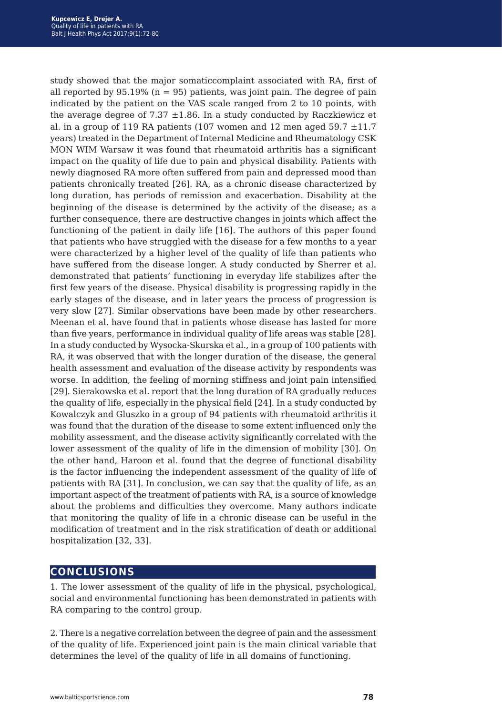study showed that the major somaticcomplaint associated with RA, first of all reported by  $95.19\%$  (n = 95) patients, was joint pain. The degree of pain indicated by the patient on the VAS scale ranged from 2 to 10 points, with the average degree of 7.37  $\pm$ 1.86. In a study conducted by Raczkiewicz et al. in a group of 119 RA patients (107 women and 12 men aged 59.7  $\pm$ 11.7 years) treated in the Department of Internal Medicine and Rheumatology CSK MON WIM Warsaw it was found that rheumatoid arthritis has a significant impact on the quality of life due to pain and physical disability. Patients with newly diagnosed RA more often suffered from pain and depressed mood than patients chronically treated [26]. RA, as a chronic disease characterized by long duration, has periods of remission and exacerbation. Disability at the beginning of the disease is determined by the activity of the disease; as a further consequence, there are destructive changes in joints which affect the functioning of the patient in daily life [16]. The authors of this paper found that patients who have struggled with the disease for a few months to a year were characterized by a higher level of the quality of life than patients who have suffered from the disease longer. A study conducted by Sherrer et al. demonstrated that patients' functioning in everyday life stabilizes after the first few years of the disease. Physical disability is progressing rapidly in the early stages of the disease, and in later years the process of progression is very slow [27]. Similar observations have been made by other researchers. Meenan et al. have found that in patients whose disease has lasted for more than five years, performance in individual quality of life areas was stable [28]. In a study conducted by Wysocka-Skurska et al., in a group of 100 patients with RA, it was observed that with the longer duration of the disease, the general health assessment and evaluation of the disease activity by respondents was worse. In addition, the feeling of morning stiffness and joint pain intensified [29]. Sierakowska et al. report that the long duration of RA gradually reduces the quality of life, especially in the physical field [24]. In a study conducted by Kowalczyk and Gluszko in a group of 94 patients with rheumatoid arthritis it was found that the duration of the disease to some extent influenced only the mobility assessment, and the disease activity significantly correlated with the lower assessment of the quality of life in the dimension of mobility [30]. On the other hand, Haroon et al. found that the degree of functional disability is the factor influencing the independent assessment of the quality of life of patients with RA [31]. In conclusion, we can say that the quality of life, as an important aspect of the treatment of patients with RA, is a source of knowledge about the problems and difficulties they overcome. Many authors indicate that monitoring the quality of life in a chronic disease can be useful in the modification of treatment and in the risk stratification of death or additional hospitalization [32, 33].

### **conclusions**

1. The lower assessment of the quality of life in the physical, psychological, social and environmental functioning has been demonstrated in patients with RA comparing to the control group.

2. There is a negative correlation between the degree of pain and the assessment of the quality of life. Experienced joint pain is the main clinical variable that determines the level of the quality of life in all domains of functioning.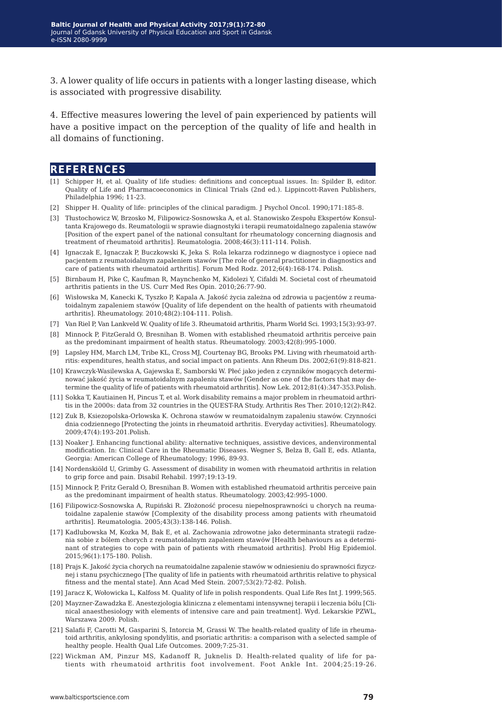3. A lower quality of life occurs in patients with a longer lasting disease, which is associated with progressive disability.

4. Effective measures lowering the level of pain experienced by patients will have a positive impact on the perception of the quality of life and health in all domains of functioning.

#### **references**

- [1] Schipper H, et al. Quality of life studies: definitions and conceptual issues. In: Spilder B, editor. Quality of Life and Pharmacoeconomics in Clinical Trials (2nd ed.). Lippincott-Raven Publishers, Philadelphia 1996; 11-23.
- [2] Shipper H. Quality of life: principles of the clinical paradigm. J Psychol Oncol. 1990;171:185-8.
- [3] Tłustochowicz W, Brzosko M, Filipowicz-Sosnowska A, et al. Stanowisko Zespołu Ekspertów Konsultanta Krajowego ds. Reumatologii w sprawie diagnostyki i terapii reumatoidalnego zapalenia stawów [Position of the expert panel of the national consultant for rheumatology concerning diagnosis and treatment of rheumatoid arthritis]. Reumatologia. 2008;46(3):111-114. Polish.
- [4] Ignaczak E, Ignaczak P, Buczkowski K, Jeka S. Rola lekarza rodzinnego w diagnostyce i opiece nad pacjentem z reumatoidalnym zapaleniem stawów [The role of general practitioner in diagnostics and care of patients with rheumatoid arthritis]. Forum Med Rodz. 2012;6(4):168-174. Polish.
- [5] Birnbaum H, Pike C, Kaufman R, Maynchenko M, Kidolezi Y, Cifaldi M. Societal cost of rheumatoid arthritis patients in the US. Curr Med Res Opin. 2010;26:77-90.
- [6] Wisłowska M, Kanecki K, Tyszko P, Kapala A. Jakość życia zależna od zdrowia u pacjentów z reumatoidalnym zapaleniem stawów [Quality of life dependent on the health of patients with rheumatoid arthritis]. Rheumatology. 2010;48(2):104-111. Polish.
- [7] Van Riel P, Van Lankveld W. Quality of life 3. Rheumatoid arthritis, Pharm World Sci. 1993;15(3):93-97.
- [8] Minnock P, FitzGerald O, Bresnihan B. Women with established rheumatoid arthritis perceive pain as the predominant impairment of health status. Rheumatology. 2003;42(8):995-1000.
- [9] Lapsley HM, March LM, Tribe KL, Cross MJ, Courtenay BG, Brooks PM. Living with rheumatoid arthritis: expenditures, health status, and social impact on patients. Ann Rheum Dis. 2002;61(9):818-821.
- [10] Krawczyk-Wasilewska A, Gajewska E, Samborski W. Płeć jako jeden z czynników mogących determinować jakość życia w reumatoidalnym zapaleniu stawów [Gender as one of the factors that may determine the quality of life of patients with rheumatoid arthritis]. Now Lek. 2012;81(4):347-353.Polish.
- [11] Sokka T, Kautiainen H, Pincus T, et al. Work disability remains a major problem in rheumatoid arthritis in the 2000s: data from 32 countries in the QUEST-RA Study. Arthritis Res Ther. 2010;12(2):R42.
- [12] Zuk B, Ksiezopolska-Orlowska K. Ochrona stawów w reumatoidalnym zapaleniu stawów. Czynności dnia codziennego [Protecting the joints in rheumatoid arthritis. Everyday activities]. Rheumatology. 2009;47(4):193-201.Polish.
- [13] Noaker J. Enhancing functional ability: alternative techniques, assistive devices, andenvironmental modification. In: Clinical Care in the Rheumatic Diseases. Wegner S, Belza B, Gall E, eds. Atlanta, Georgia: American College of Rheumatology; 1996, 89-93.
- [14] Nordenskiöld U, Grimby G. Assessment of disability in women with rheumatoid arthritis in relation to grip force and pain. Disabil Rehabil. 1997;19:13-19.
- [15] Minnock P, Fritz Gerald O, Bresnihan B. Women with established rheumatoid arthritis perceive pain as the predominant impairment of health status. Rheumatology. 2003;42:995-1000.
- [16] Filipowicz-Sosnowska A, Rupiński R. Złożoność procesu niepełnosprawności u chorych na reumatoidalne zapalenie stawów [Complexity of the disability process among patients with rheumatoid arthritis]. Reumatologia. 2005;43(3):138-146. Polish.
- [17] Kadlubowska M, Kozka M, Bak E, et al. Zachowania zdrowotne jako determinanta strategii radzenia sobie z bólem chorych z reumatoidalnym zapaleniem stawów [Health behaviours as a determinant of strategies to cope with pain of patients with rheumatoid arthritis]. Probl Hig Epidemiol. 2015;96(1):175-180. Polish.
- [18] Prajs K. Jakość życia chorych na reumatoidalne zapalenie stawów w odniesieniu do sprawności fizycznej i stanu psychicznego [The quality of life in patients with rheumatoid arthritis relative to physical fitness and the mental state]. Ann Acad Med Stein. 2007;53(2):72-82. Polish.
- [19] Jaracz K, Wołowicka L, Kalfoss M. Quality of life in polish respondents. Qual Life Res Int J. 1999;565.
- [20] Mayzner-Zawadzka E. Anestezjologia kliniczna z elementami intensywnej terapii i leczenia bólu [Clinical anaesthesiology with elements of intensive care and pain treatment]. Wyd. Lekarskie PZWL, Warszawa 2009. Polish.
- [21] Salafii F, Carotti M, Gasparini S, Intorcia M, Grassi W. The health-related quality of life in rheumatoid arthritis, ankylosing spondylitis, and psoriatic arthritis: a comparison with a selected sample of healthy people. Health Qual Life Outcomes. 2009;7:25-31.
- [22] Wickman AM, Pinzur MS, Kadanoff R, Juknelis D. Health-related quality of life for patients with rheumatoid arthritis foot involvement. Foot Ankle Int. 2004;25:19-26.